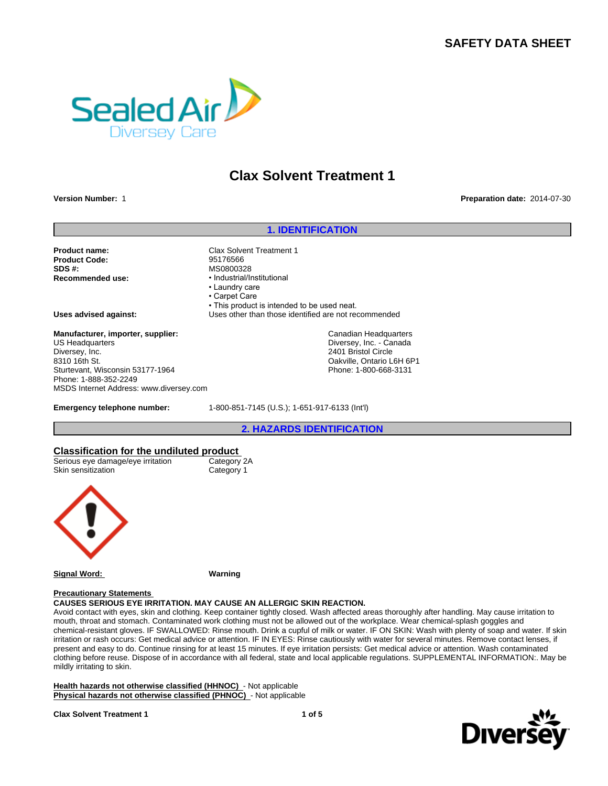# **SAFETY DATA SHEET**



# **Clax Solvent Treatment 1**

**Version Number:** 1 **Preparation date:** 2014-07-30

### **1. IDENTIFICATION**

**Product name:** Clax Solvent Treatment 1<br> **Product Code:** Clay Computer 95176566 **Product Code: SDS #:** MS0800328<br> **Recommended use:** Manual Manual Mecommended use:

**Recommended use:** •Industrial/Institutional •Laundrycare • Carpet Care • This product is intended to be used neat. **Uses advised against:** Uses other than those identified are not recommended

> Canadian Headquarters Diversey, Inc. - Canada 2401 Bristol Circle Oakville, Ontario L6H 6P1 Phone: 1-800-668-3131

## **Manufacturer, importer, supplier:**

US Headquarters Diversey, Inc. 8310 16th St. Sturtevant, Wisconsin 53177-1964 Phone: 1-888-352-2249 MSDS Internet Address: www.diversey.com

**Emergency telephone number:** 1-800-851-7145 (U.S.); 1-651-917-6133 (Int'l)

**2. HAZARDS IDENTIFICATION**

### **Classification for the undiluted product**

| Serious eye damage/eye irritation | Category 2A |
|-----------------------------------|-------------|
| Skin sensitization                | Category 1  |



**Signal Word: Warning**

#### **Precautionary Statements**

## **CAUSES SERIOUS EYE IRRITATION. MAY CAUSE AN ALLERGIC SKIN REACTION.**

Avoid contact with eyes, skin and clothing. Keep container tightly closed. Wash affected areas thoroughly after handling. May cause irritation to mouth, throat and stomach. Contaminated work clothing must not be allowed out of the workplace. Wear chemical-splash goggles and chemical-resistant gloves. IF SWALLOWED: Rinse mouth. Drink a cupful of milk or water. IF ON SKIN: Wash with plenty of soap and water. If skin irritation or rash occurs: Get medical advice or attention. IF IN EYES: Rinse cautiously with water for several minutes. Remove contact lenses, if present and easy to do. Continue rinsing for at least 15 minutes. If eye irritation persists: Get medical advice or attention. Wash contaminated clothing before reuse. Dispose of in accordance with all federal, state and local applicable regulations. SUPPLEMENTAL INFORMATION:. May be mildly irritating to skin.

**Health hazards not otherwise classified (HHNOC)** - Not applicable **Physical hazards not otherwise classified (PHNOC)** - Not applicable

**Clax Solvent Treatment 1**

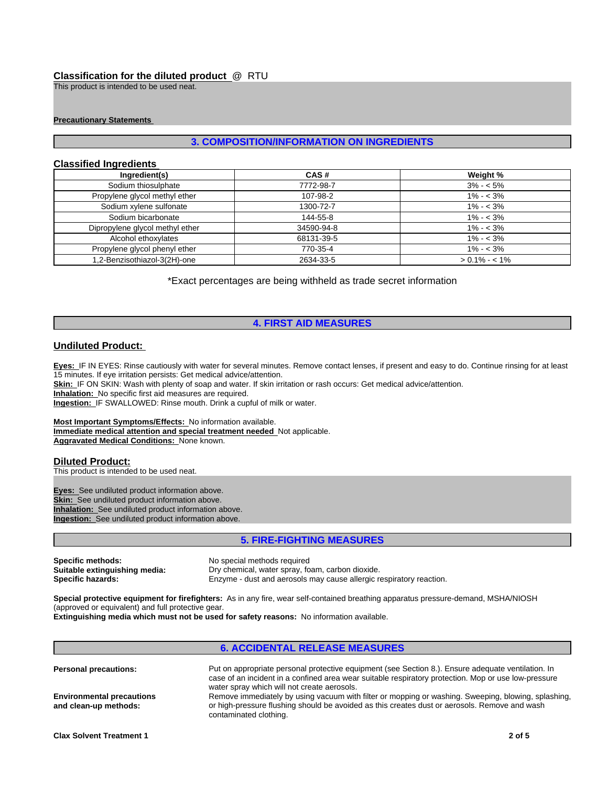## **Classification for the diluted product** @ RTU

This product is intended to be used neat.

#### **Precautionary Statements**

## **3. COMPOSITION/INFORMATION ON INGREDIENTS**

## **Classified Ingredients**

| Ingredient(s)                   | CAS#       | Weight %        |
|---------------------------------|------------|-----------------|
| Sodium thiosulphate             | 7772-98-7  | $3\% - 5\%$     |
| Propylene glycol methyl ether   | 107-98-2   | $1\% - 3\%$     |
| Sodium xylene sulfonate         | 1300-72-7  | $1\% - 3\%$     |
| Sodium bicarbonate              | 144-55-8   | $1\% - 3\%$     |
| Dipropylene glycol methyl ether | 34590-94-8 | $1\% - 3\%$     |
| Alcohol ethoxylates             | 68131-39-5 | $1\% - 3\%$     |
| Propylene glycol phenyl ether   | 770-35-4   | $1\% - 3\%$     |
| 1,2-Benzisothiazol-3(2H)-one    | 2634-33-5  | $> 0.1\% - 1\%$ |

\*Exact percentages are being withheld as trade secret information

## **4. FIRST AID MEASURES**

### **Undiluted Product:**

**Eyes:** IF IN EYES: Rinse cautiously with water for several minutes. Remove contact lenses, if present and easy to do. Continue rinsing for at least 15 minutes. If eye irritation persists: Get medical advice/attention.

**Skin:** IF ON SKIN: Wash with plenty of soap and water. If skin irritation or rash occurs: Get medical advice/attention.

**Inhalation:** No specific first aid measures are required.

**Ingestion:** IF SWALLOWED: Rinse mouth. Drink a cupful of milk or water.

**Most Important Symptoms/Effects:** No information available. **Immediate medical attention and special treatment needed** Not applicable. **Aggravated Medical Conditions:** None known.

## **Diluted Product:**

This product is intended to be used neat.

**Eyes:** See undiluted product information above. **Skin:** See undiluted product information above. **Inhalation:** See undiluted product information above. **Ingestion:** See undiluted product information above.

## **5. FIRE-FIGHTING MEASURES**

**Specific methods:** No special methods required

**Suitable extinguishing media:** Dry chemical, water spray, foam, carbon dioxide.<br> **Specific hazards:** Enzyme - dust and aerosols may cause allergic re **Specific hazards:** Enzyme - dust and aerosols may cause allergic respiratory reaction.

**Special protective equipment for firefighters:** As in any fire, wear self-contained breathing apparatus pressure-demand, MSHA/NIOSH (approved or equivalent) and full protective gear.

**Extinguishing media which must not be used for safety reasons:** No information available.

#### **6. ACCIDENTAL RELEASE MEASURES Personal precautions:** Put on appropriate personal protective equipment (see Section 8.). Ensure adequate ventilation. In case of an incident in a confined area wear suitable respiratory protection. Mop or use low-pressure water spray which will not create aerosols. **Environmental precautions and clean-up methods:** Remove immediately by using vacuum with filter or mopping or washing. Sweeping, blowing, splashing, or high-pressure flushing should be avoided as this creates dust or aerosols. Remove and wash contaminated clothing.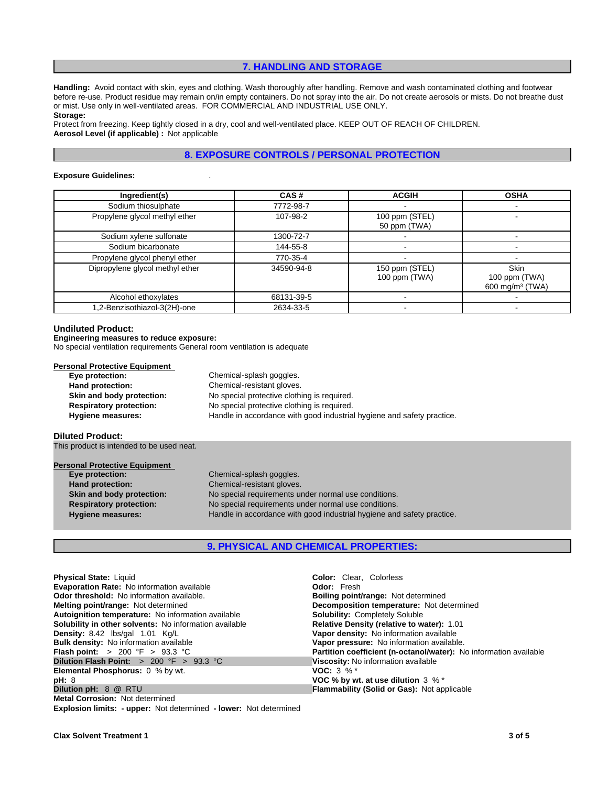## **7. HANDLING AND STORAGE**

**Handling:** Avoid contact with skin, eyes and clothing. Wash thoroughly after handling. Remove and wash contaminated clothing and footwear before re-use. Product residue may remain on/in empty containers. Do not spray into the air. Do not create aerosols or mists. Do not breathe dust or mist. Use only in well-ventilated areas. FOR COMMERCIAL AND INDUSTRIAL USE ONLY. **Storage:**

Protect from freezing. Keep tightly closed in a dry, cool and well-ventilated place. KEEP OUT OF REACH OF CHILDREN. **Aerosol Level (if applicable) :** Not applicable

## **8. EXPOSURE CONTROLS / PERSONAL PROTECTION**

#### **Exposure Guidelines:** .

| Ingredient(s)                   | CAS#       | <b>ACGIH</b>                    | <b>OSHA</b>                                                 |
|---------------------------------|------------|---------------------------------|-------------------------------------------------------------|
| Sodium thiosulphate             | 7772-98-7  |                                 |                                                             |
| Propylene glycol methyl ether   | 107-98-2   | 100 ppm (STEL)<br>50 ppm (TWA)  |                                                             |
| Sodium xylene sulfonate         | 1300-72-7  |                                 |                                                             |
| Sodium bicarbonate              | 144-55-8   |                                 |                                                             |
| Propylene glycol phenyl ether   | 770-35-4   |                                 |                                                             |
| Dipropylene glycol methyl ether | 34590-94-8 | 150 ppm (STEL)<br>100 ppm (TWA) | <b>Skin</b><br>100 ppm (TWA)<br>600 mg/m <sup>3</sup> (TWA) |
| Alcohol ethoxylates             | 68131-39-5 |                                 |                                                             |
| .2-Benzisothiazol-3(2H)-one     | 2634-33-5  |                                 |                                                             |

#### **Undiluted Product:**

### **Engineering measures to reduce exposure:**

No special ventilation requirements General room ventilation is adequate

#### **Personal Protective Equipment**

| Eye protection:                | Chemical-splash goggles.                                               |
|--------------------------------|------------------------------------------------------------------------|
| Hand protection:               | Chemical-resistant gloves.                                             |
| Skin and body protection:      | No special protective clothing is required.                            |
| <b>Respiratory protection:</b> | No special protective clothing is required.                            |
| Hygiene measures:              | Handle in accordance with good industrial hygiene and safety practice. |

#### **Diluted Product:**

This product is intended to be used neat.

| <b>Personal Protective Equipment</b> |                                                                        |
|--------------------------------------|------------------------------------------------------------------------|
| Eye protection:                      | Chemical-splash goggles.                                               |
| Hand protection:                     | Chemical-resistant gloves.                                             |
| Skin and body protection:            | No special requirements under normal use conditions.                   |
| <b>Respiratory protection:</b>       | No special requirements under normal use conditions.                   |
| <b>Hygiene measures:</b>             | Handle in accordance with good industrial hygiene and safety practice. |

## **9. PHYSICAL AND CHEMICAL PROPERTIES:**

| <b>Physical State: Liquid</b>                                            | <b>Color:</b> Clear. Colorless                                    |
|--------------------------------------------------------------------------|-------------------------------------------------------------------|
| Evaporation Rate: No information available                               | <b>Odor:</b> Fresh                                                |
| <b>Odor threshold:</b> No information available.                         | <b>Boiling point/range: Not determined</b>                        |
| <b>Melting point/range:</b> Not determined                               | Decomposition temperature: Not determined                         |
| Autoignition temperature: No information available                       | <b>Solubility: Completely Soluble</b>                             |
| <b>Solubility in other solvents:</b> No information available            | <b>Relative Density (relative to water): 1.01</b>                 |
| Density: 8.42 lbs/gal 1.01 Kg/L                                          | Vapor density: No information available                           |
| <b>Bulk density:</b> No information available                            | Vapor pressure: No information available.                         |
| <b>Flash point:</b> > 200 °F > 93.3 °C                                   | Partition coefficient (n-octanol/water): No information available |
| <b>Dilution Flash Point:</b> $> 200$ °F $> 93.3$ °C                      | Viscosity: No information available                               |
| <b>Elemental Phosphorus:</b> 0 % by wt.                                  | <b>VOC:</b> $3\%$ <sup>*</sup>                                    |
| pH: 8                                                                    | VOC % by wt. at use dilution $3\%$ *                              |
| Dilution pH: 8 @ RTU                                                     | <b>Flammability (Solid or Gas): Not applicable</b>                |
| <b>Metal Corrosion: Not determined</b>                                   |                                                                   |
| <b>Explosion limits: - upper: Not determined - lower: Not determined</b> |                                                                   |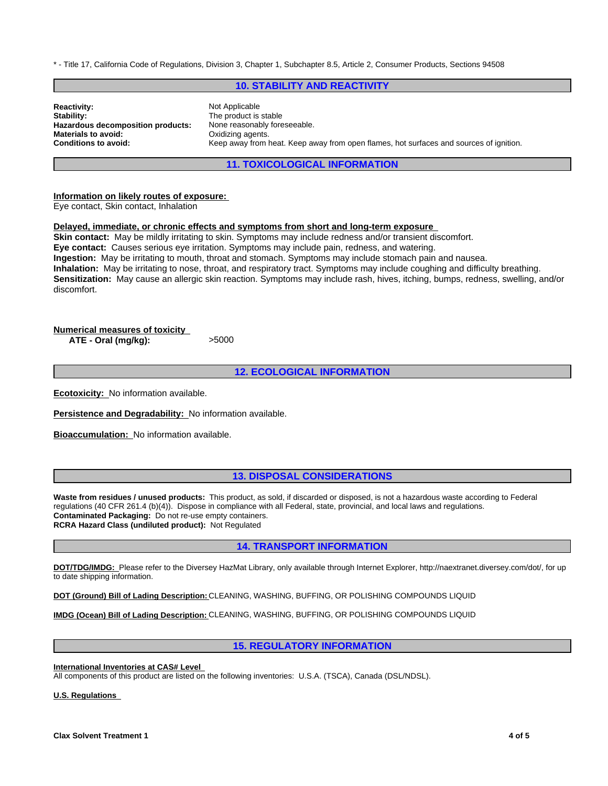\* - Title 17, California Code of Regulations, Division 3, Chapter 1, Subchapter 8.5, Article 2, Consumer Products, Sections 94508

### **10. STABILITY AND REACTIVITY**

**Reactivity:** Not Applicable Stability: Not Applicable Stability: **Hazardous decomposition products:** None reasonably foreseeable. **Materials to avoid: Calculariation Conditions to avoid: Conditions to avoid: Conditions to avoid: Conditions to avoid: Conditions to avoid: Conditions Conditions Conditions Conditions Conditions Cond** 

**Stability:** The product is stable Keep away from heat. Keep away from open flames, hot surfaces and sources of ignition.

**11. TOXICOLOGICAL INFORMATION**

**Information on likely routes of exposure:**  Eye contact, Skin contact, Inhalation

#### **Delayed, immediate, or chronic effects and symptoms from short and long-term exposure**

**Skin contact:** May be mildly irritating to skin. Symptoms may include redness and/or transient discomfort. **Eye contact:** Causes serious eye irritation. Symptoms may include pain, redness, and watering. **Ingestion:** May be irritating to mouth, throat and stomach. Symptoms may include stomach pain and nausea. **Inhalation:** May be irritating to nose, throat, and respiratory tract. Symptoms may include coughing and difficulty breathing. **Sensitization:** May cause an allergic skin reaction. Symptoms may include rash, hives, itching, bumps, redness, swelling, and/or discomfort.

## **Numerical measures of toxicity**

**ATE - Oral (mg/kg):** >5000

## **12. ECOLOGICAL INFORMATION**

**Ecotoxicity:** No information available.

**Persistence and Degradability:** No information available.

**Bioaccumulation:** No information available.

## **13. DISPOSAL CONSIDERATIONS**

**Waste from residues / unused products:** This product, as sold, if discarded or disposed, is not a hazardous waste according to Federal regulations (40 CFR 261.4 (b)(4)). Dispose in compliance with all Federal, state, provincial, and local laws and regulations. **Contaminated Packaging:** Do not re-use empty containers. **RCRA Hazard Class (undiluted product):** Not Regulated

## **14. TRANSPORT INFORMATION**

**DOT/TDG/IMDG:** Please refer to the Diversey HazMat Library, only available through Internet Explorer, http://naextranet.diversey.com/dot/, for up to date shipping information.

**DOT (Ground) Bill of Lading Description:** CLEANING, WASHING, BUFFING, OR POLISHING COMPOUNDS LIQUID

**IMDG (Ocean) Bill of Lading Description:** CLEANING, WASHING, BUFFING, OR POLISHING COMPOUNDS LIQUID

## **15. REGULATORY INFORMATION**

**International Inventories at CAS# Level** 

All components of this product are listed on the following inventories: U.S.A. (TSCA), Canada (DSL/NDSL).

**U.S. Regulations**